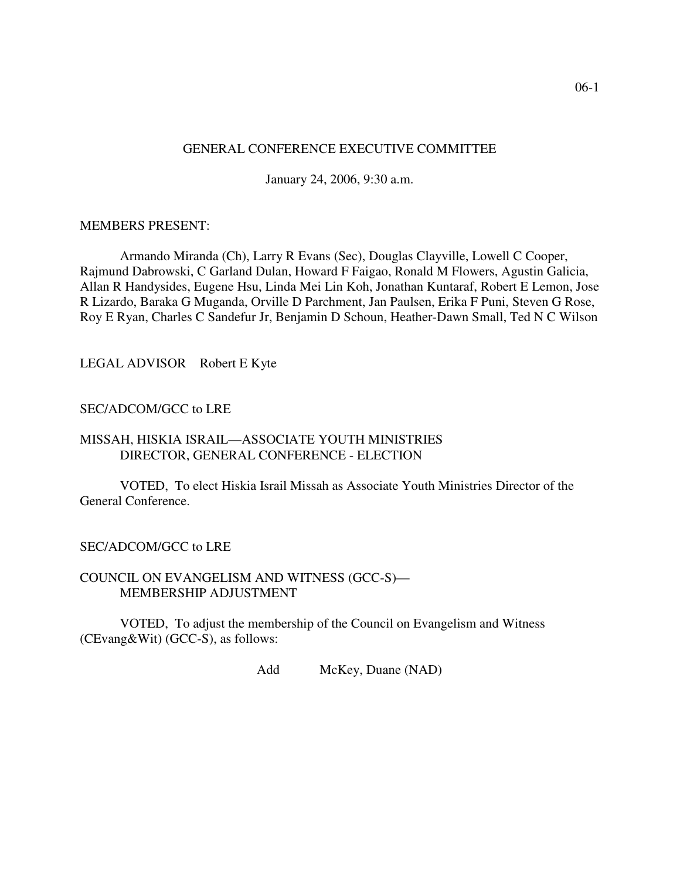### GENERAL CONFERENCE EXECUTIVE COMMITTEE

January 24, 2006, 9:30 a.m.

#### MEMBERS PRESENT:

Armando Miranda (Ch), Larry R Evans (Sec), Douglas Clayville, Lowell C Cooper, Rajmund Dabrowski, C Garland Dulan, Howard F Faigao, Ronald M Flowers, Agustin Galicia, Allan R Handysides, Eugene Hsu, Linda Mei Lin Koh, Jonathan Kuntaraf, Robert E Lemon, Jose R Lizardo, Baraka G Muganda, Orville D Parchment, Jan Paulsen, Erika F Puni, Steven G Rose, Roy E Ryan, Charles C Sandefur Jr, Benjamin D Schoun, Heather-Dawn Small, Ted N C Wilson

LEGAL ADVISOR Robert E Kyte

# SEC/ADCOM/GCC to LRE

# MISSAH, HISKIA ISRAIL—ASSOCIATE YOUTH MINISTRIES DIRECTOR, GENERAL CONFERENCE - ELECTION

VOTED, To elect Hiskia Israil Missah as Associate Youth Ministries Director of the General Conference.

# SEC/ADCOM/GCC to LRE

#### COUNCIL ON EVANGELISM AND WITNESS (GCC-S)— MEMBERSHIP ADJUSTMENT

VOTED, To adjust the membership of the Council on Evangelism and Witness (CEvang&Wit) (GCC-S), as follows:

Add McKey, Duane (NAD)